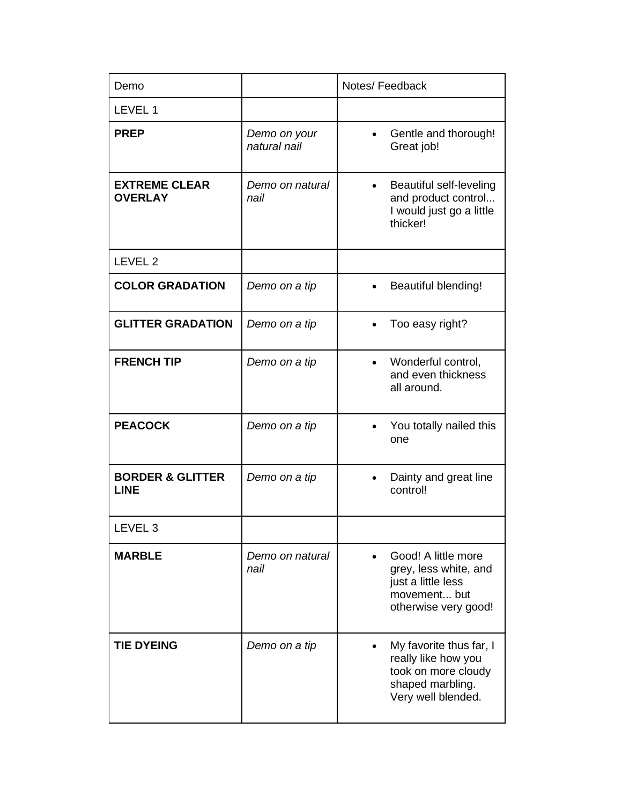| Demo                                       |                              | Notes/Feedback                                                                                                  |
|--------------------------------------------|------------------------------|-----------------------------------------------------------------------------------------------------------------|
| LEVEL 1                                    |                              |                                                                                                                 |
| <b>PREP</b>                                | Demo on your<br>natural nail | Gentle and thorough!<br>Great job!                                                                              |
| <b>EXTREME CLEAR</b><br><b>OVERLAY</b>     | Demo on natural<br>nail      | Beautiful self-leveling<br>$\bullet$<br>and product control<br>I would just go a little<br>thicker!             |
| LEVEL <sub>2</sub>                         |                              |                                                                                                                 |
| <b>COLOR GRADATION</b>                     | Demo on a tip                | Beautiful blending!                                                                                             |
| <b>GLITTER GRADATION</b>                   | Demo on a tip                | Too easy right?                                                                                                 |
| <b>FRENCH TIP</b>                          | Demo on a tip                | Wonderful control,<br>$\bullet$<br>and even thickness<br>all around.                                            |
| <b>PEACOCK</b>                             | Demo on a tip                | You totally nailed this<br>one                                                                                  |
| <b>BORDER &amp; GLITTER</b><br><b>LINE</b> | Demo on a tip                | Dainty and great line<br>control!                                                                               |
| LEVEL <sub>3</sub>                         |                              |                                                                                                                 |
| <b>MARBLE</b>                              | Demo on natural<br>nail      | Good! A little more<br>grey, less white, and<br>just a little less<br>movement but<br>otherwise very good!      |
| <b>TIE DYEING</b>                          | Demo on a tip                | My favorite thus far, I<br>really like how you<br>took on more cloudy<br>shaped marbling.<br>Very well blended. |